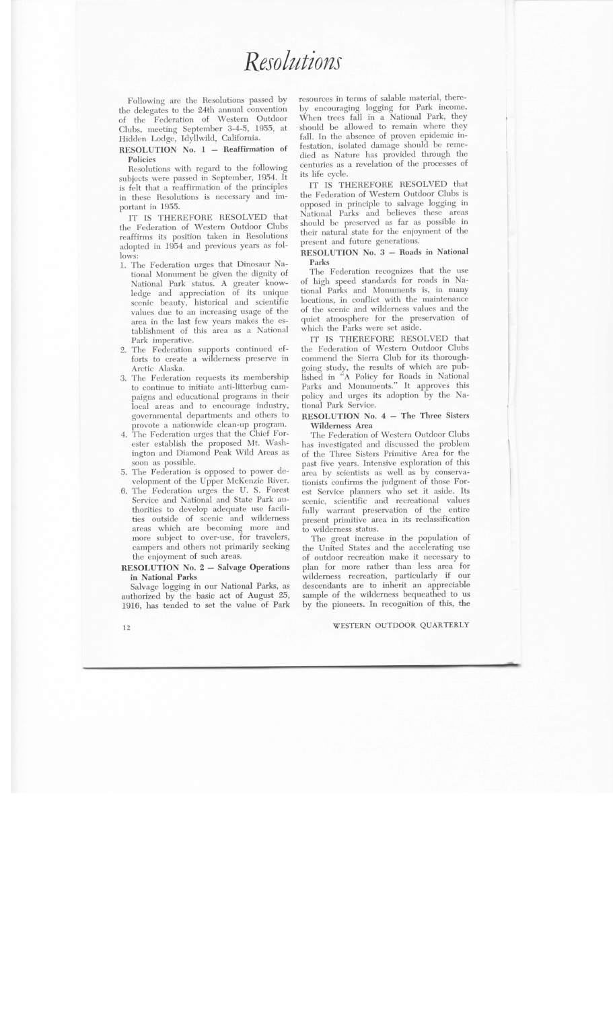*Resolutions* 

Following are the Resolutions passed by the delegates to the 24th annual convention of the Federation of Western Outdoor Clubs , meeting September 3-4-5, 1955, at Hidden Lodge, Idyllwild , California.

RESOLUTION No.  $1 -$  Reaffirmation of Policies

Resolutions with regard to the following subjects were passed in September, 1954. It is felt that a reaffirmation of the principles in these Resolutions is necessary and important in 1955.

IT IS THEREFORE RESOLVED that the Federation of Western Outdoor Clubs reaffirms its position taken in Resolutions  $d$ <sub>opted</sub> in  $1954$  and previous years as follows:

- 1. The Federation urges that Dinosaur National Monument be given the dignity of National Park status. A greater knowledge and appreciation of its unique scenic beauty, historical and scientific values due to an increasing usage of the area in the last few years makes the establishment of this area as a National Park imperative.
- 2. The Federation supports continued efforts to create a wilderness preserve in Arctic Alaska.
- 3. The Federation requests its membership to continue to initiate anti-litterbug campaigns and educational programs in their local areas and to encourage industry, governmental departments and others to provote a nationwide clean-up program.
- $\frac{1}{4}$ . The Eederation urges that the Chief Forester establish the proposed Mt. Washngton and Diamond Peak Wild Areas as soon as possible.
- 5. The Federation is opposed to power development of the Upper McKenzie River.
- 6. The Federation urges the U.S. Forest Service and National and State Park authorities to develop adequate use facilities outside of scenic and wilderness areas which are becoming more and more subject to over-use, for travelers, campers and others not primarily seeking the enjoyment of such areas.

RESOLUTION No. 2 - Salvage Operations in National Parks

Salvage logging in our National Parks , as authorized by the basic act of August  $25$ 1916, has tended to set the value of Park

resources in terms of salable material, thereby encouraging logging for Park income. When trees fall in a National Park, they sould be allowed to remain where they Il In the absence of proven epidemic infestation, isolated damage should be remedied as Nature has provided through the centuries as a revelation of the processes of its life cycle.

IT IS THEREFORE RESOLVED that the Federation of Western Outdoor Clubs is pposed in principle to salvage logging in Iational Parks and believes these areas should be preserved as far as possible in heir natural state for the enjoyment of the present and future generations.

RESOLUTION No. 3 - Roads in National Parks

The Federation recognizes that the use of high speed standards for roads in National Parks and Monuments is, in many locations, in conflict with the maintenance of the scenic and wilderness values and the quiet atmosphere for the preservation of which the Parks were set aside.

IT IS THEREFORE RESOLVED that the Federation of Western Outdoor Clubs commend the Sierra Club for its thoroughgoing study, the results of which are published in " A Policy for Roads in National Parks and Monuments." It approves this policy and urges its adoption by the National Park Service.

### RESOLUTION No. 4 - The Three Sisters Wilderness Area

The Federation of Western Outdoor Clubs has investigated and discussed the problem of the Three Sisters Primitive Area for the past five years. Intensive exploration of this area by scientists as well as by conservationists confirms the judgment of those Forest Service planners who set it aside. Its scenic, scientific and recreational values fidly warrant preservation of the entire present primitive area in its reclassification to wilderness status.

The great increase in the population of the United States and the accelerating use of outdoor recreation make it necessary to plan for more rather than less area for wilderness recreation, particularly if our descendants are to inherit an appreciable sample of the wilderness bequeathed to us by the pioneers. In recognition of this, the

## 12 WESTERN OUTDOOR QUARTERLY